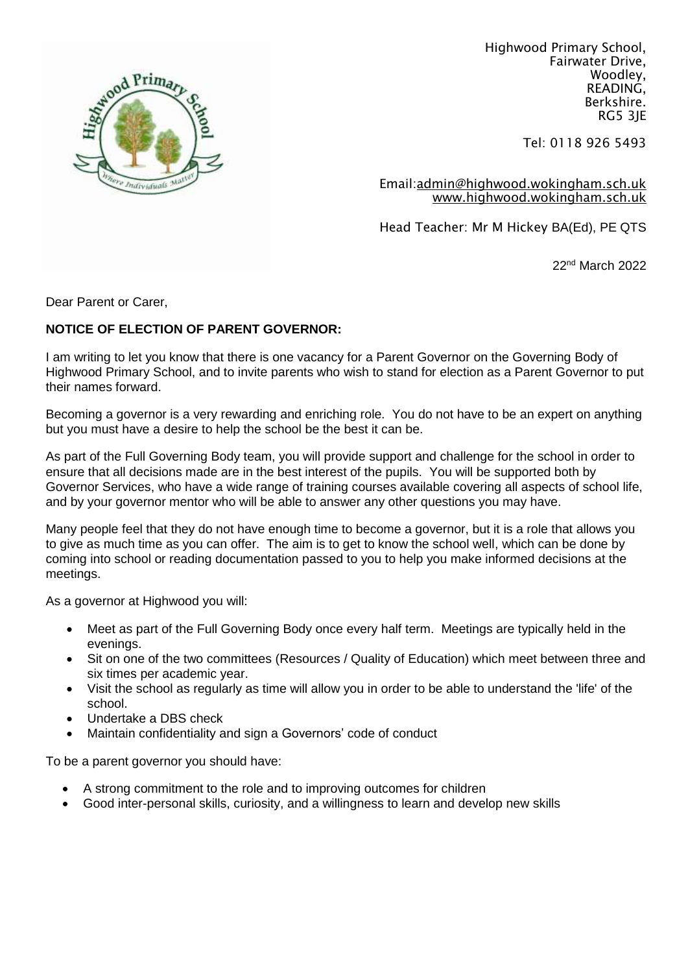

Highwood Primary School, Fairwater Drive, Woodley, READING, Berkshire. RG5 3JE

Tel: 0118 926 5493

Email[:admin@highwood.wokingham.sch.uk](mailto:admin@highwood.wokingham.sch.uk) [www.highwood.wokingham.sch.uk](http://www.highwood.wokingham.sch.uk/)

Head Teacher: Mr M Hickey BA(Ed), PE QTS

22nd March 2022

Dear Parent or Carer,

### **NOTICE OF ELECTION OF PARENT GOVERNOR:**

I am writing to let you know that there is one vacancy for a Parent Governor on the Governing Body of Highwood Primary School, and to invite parents who wish to stand for election as a Parent Governor to put their names forward.

Becoming a governor is a very rewarding and enriching role. You do not have to be an expert on anything but you must have a desire to help the school be the best it can be.

As part of the Full Governing Body team, you will provide support and challenge for the school in order to ensure that all decisions made are in the best interest of the pupils. You will be supported both by Governor Services, who have a wide range of training courses available covering all aspects of school life, and by your governor mentor who will be able to answer any other questions you may have.

Many people feel that they do not have enough time to become a governor, but it is a role that allows you to give as much time as you can offer. The aim is to get to know the school well, which can be done by coming into school or reading documentation passed to you to help you make informed decisions at the meetings.

As a governor at Highwood you will:

- Meet as part of the Full Governing Body once every half term. Meetings are typically held in the evenings.
- Sit on one of the two committees (Resources / Quality of Education) which meet between three and six times per academic year.
- Visit the school as regularly as time will allow you in order to be able to understand the 'life' of the school.
- Undertake a DBS check
- Maintain confidentiality and sign a Governors' code of conduct

To be a parent governor you should have:

- A strong commitment to the role and to improving outcomes for children
- Good inter-personal skills, curiosity, and a willingness to learn and develop new skills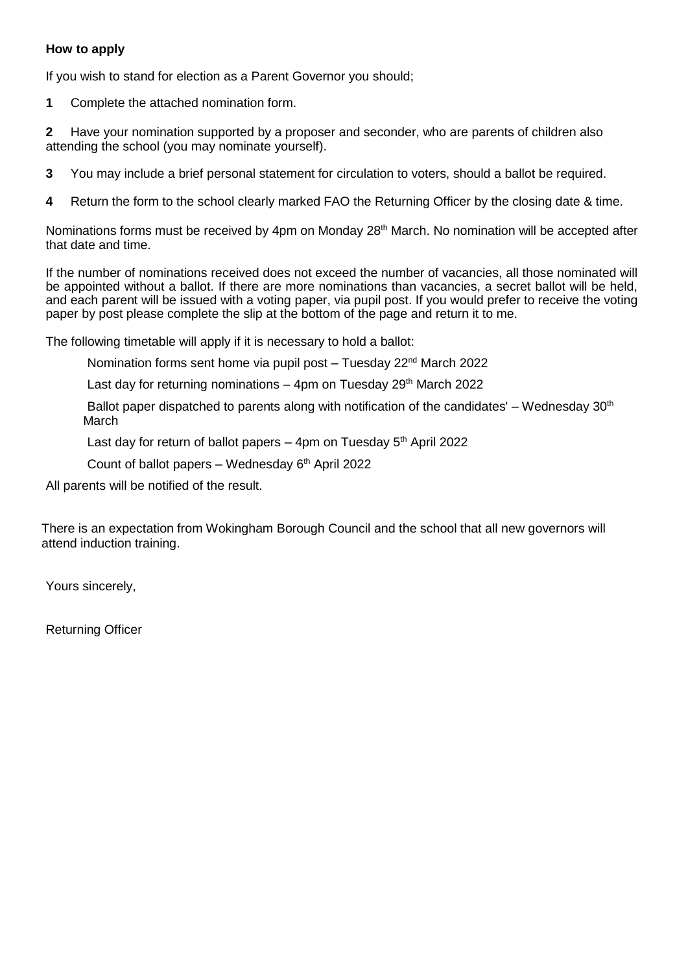### **How to apply**

If you wish to stand for election as a Parent Governor you should;

**1** Complete the attached nomination form.

**2** Have your nomination supported by a proposer and seconder, who are parents of children also attending the school (you may nominate yourself).

- **3**You may include a brief personal statement for circulation to voters, should a ballot be required.
- **4** Return the form to the school clearly marked FAO the Returning Officer by the closing date & time.

Nominations forms must be received by 4pm on Monday 28<sup>th</sup> March. No nomination will be accepted after that date and time.

If the number of nominations received does not exceed the number of vacancies, all those nominated will be appointed without a ballot. If there are more nominations than vacancies, a secret ballot will be held, and each parent will be issued with a voting paper, via pupil post. If you would prefer to receive the voting paper by post please complete the slip at the bottom of the page and return it to me.

The following timetable will apply if it is necessary to hold a ballot:

Nomination forms sent home via pupil post - Tuesday 22<sup>nd</sup> March 2022

Last day for returning nominations  $-4$ pm on Tuesday 29<sup>th</sup> March 2022

Ballot paper dispatched to parents along with notification of the candidates' – Wednesday  $30<sup>th</sup>$ March

Last day for return of ballot papers  $-$  4pm on Tuesday  $5<sup>th</sup>$  April 2022

Count of ballot papers – Wednesday  $6<sup>th</sup>$  April 2022

All parents will be notified of the result.

There is an expectation from Wokingham Borough Council and the school that all new governors will attend induction training.

Yours sincerely,

Returning Officer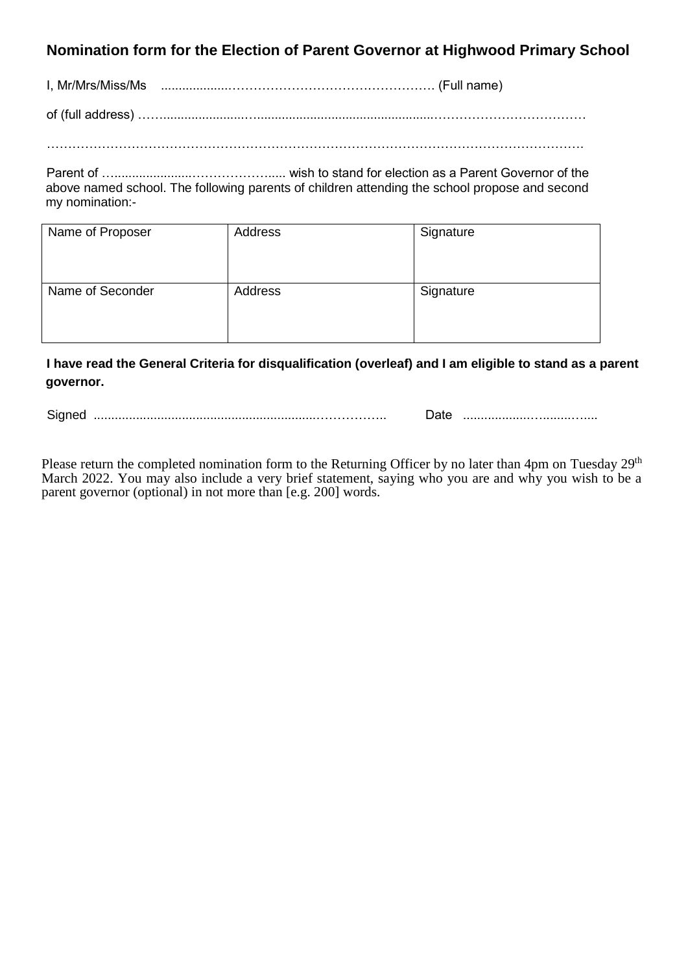# **Nomination form for the Election of Parent Governor at Highwood Primary School**

I, Mr/Mrs/Miss/Ms ...................…………………………………………. (Full name)

of (full address) …….......................…..................................................………………………………

……………………………………………………………………………………………………………….

Parent of …......................………………..... wish to stand for election as a Parent Governor of the above named school. The following parents of children attending the school propose and second my nomination:-

| Name of Proposer | Address | Signature |
|------------------|---------|-----------|
| Name of Seconder | Address | Signature |

**I have read the General Criteria for disqualification (overleaf) and I am eligible to stand as a parent governor.**

Signed ...............................................................…………….. Date ...................…........…....

Please return the completed nomination form to the Returning Officer by no later than 4pm on Tuesday 29<sup>th</sup> March 2022. You may also include a very brief statement, saying who you are and why you wish to be a parent governor (optional) in not more than [e.g. 200] words.